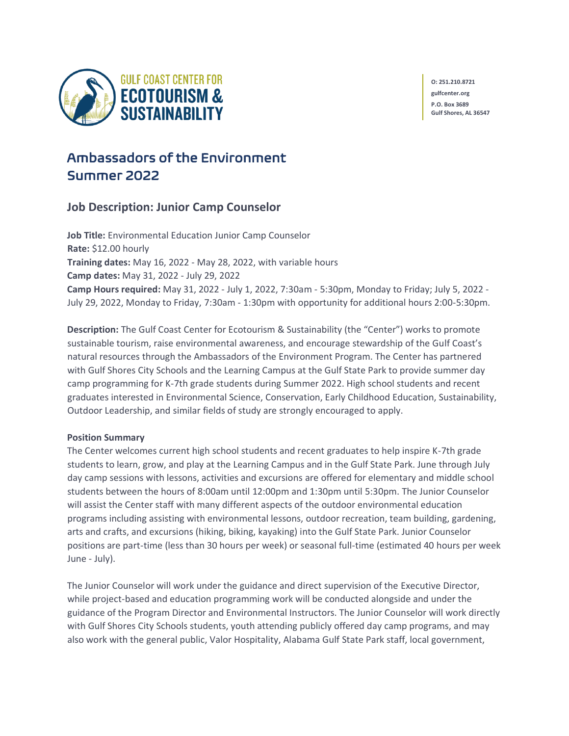

**O: 251.210.8721 gulfcenter.org P.O. Box 3689 Gulf Shores, AL 36547**

# Ambassadors of the Environment Summer 2022

## **Job Description: Junior Camp Counselor**

**Job Title:** Environmental Education Junior Camp Counselor **Rate:** \$12.00 hourly **Training dates:** May 16, 2022 - May 28, 2022, with variable hours **Camp dates:** May 31, 2022 - July 29, 2022 **Camp Hours required:** May 31, 2022 - July 1, 2022, 7:30am - 5:30pm, Monday to Friday; July 5, 2022 - July 29, 2022, Monday to Friday, 7:30am - 1:30pm with opportunity for additional hours 2:00-5:30pm.

**Description:** The Gulf Coast Center for Ecotourism & Sustainability (the "Center") works to promote sustainable tourism, raise environmental awareness, and encourage stewardship of the Gulf Coast's natural resources through the Ambassadors of the Environment Program. The Center has partnered with Gulf Shores City Schools and the Learning Campus at the Gulf State Park to provide summer day camp programming for K-7th grade students during Summer 2022. High school students and recent graduates interested in Environmental Science, Conservation, Early Childhood Education, Sustainability, Outdoor Leadership, and similar fields of study are strongly encouraged to apply.

### **Position Summary**

The Center welcomes current high school students and recent graduates to help inspire K-7th grade students to learn, grow, and play at the Learning Campus and in the Gulf State Park. June through July day camp sessions with lessons, activities and excursions are offered for elementary and middle school students between the hours of 8:00am until 12:00pm and 1:30pm until 5:30pm. The Junior Counselor will assist the Center staff with many different aspects of the outdoor environmental education programs including assisting with environmental lessons, outdoor recreation, team building, gardening, arts and crafts, and excursions (hiking, biking, kayaking) into the Gulf State Park. Junior Counselor positions are part-time (less than 30 hours per week) or seasonal full-time (estimated 40 hours per week June - July).

The Junior Counselor will work under the guidance and direct supervision of the Executive Director, while project-based and education programming work will be conducted alongside and under the guidance of the Program Director and Environmental Instructors. The Junior Counselor will work directly with Gulf Shores City Schools students, youth attending publicly offered day camp programs, and may also work with the general public, Valor Hospitality, Alabama Gulf State Park staff, local government,